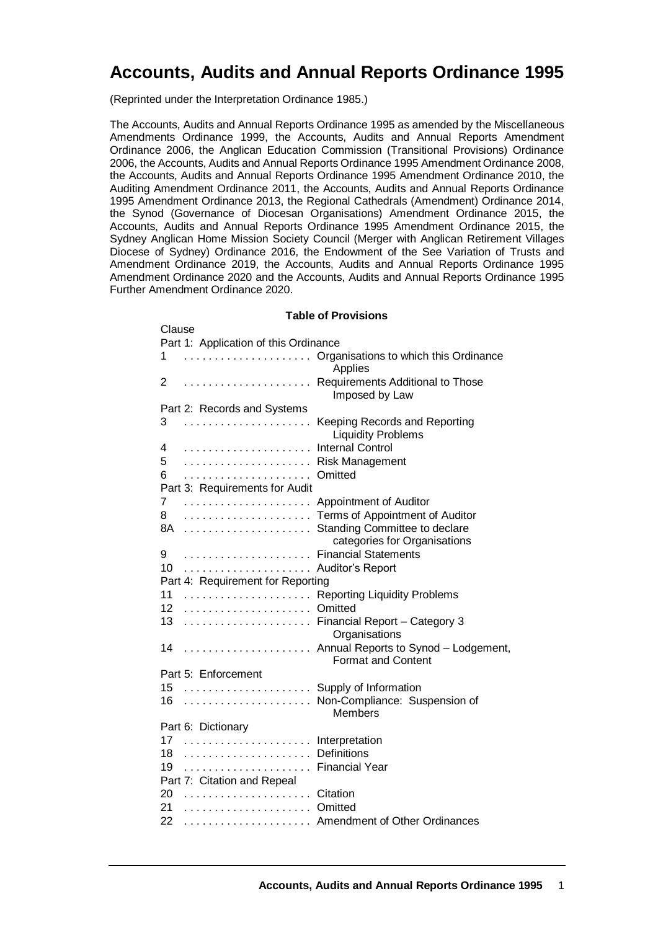# **Accounts, Audits and Annual Reports Ordinance 1995**

(Reprinted under the Interpretation Ordinance 1985.)

Clause

The Accounts, Audits and Annual Reports Ordinance 1995 as amended by the Miscellaneous Amendments Ordinance 1999, the Accounts, Audits and Annual Reports Amendment Ordinance 2006, the Anglican Education Commission (Transitional Provisions) Ordinance 2006, the Accounts, Audits and Annual Reports Ordinance 1995 Amendment Ordinance 2008, the Accounts, Audits and Annual Reports Ordinance 1995 Amendment Ordinance 2010, the Auditing Amendment Ordinance 2011, the Accounts, Audits and Annual Reports Ordinance 1995 Amendment Ordinance 2013, the Regional Cathedrals (Amendment) Ordinance 2014, the Synod (Governance of Diocesan Organisations) Amendment Ordinance 2015, the Accounts, Audits and Annual Reports Ordinance 1995 Amendment Ordinance 2015, the Sydney Anglican Home Mission Society Council (Merger with Anglican Retirement Villages Diocese of Sydney) Ordinance 2016, the Endowment of the See Variation of Trusts and Amendment Ordinance 2019, the Accounts, Audits and Annual Reports Ordinance 1995 Amendment Ordinance 2020 and the Accounts, Audits and Annual Reports Ordinance 1995 Further Amendment Ordinance 2020.

#### **Table of Provisions**

| ∪lauə <del>c</del> |                                       |                                                                   |
|--------------------|---------------------------------------|-------------------------------------------------------------------|
|                    | Part 1: Application of this Ordinance |                                                                   |
| 1                  |                                       | Organisations to which this Ordinance<br>Applies                  |
| 2                  |                                       | Requirements Additional to Those<br>Imposed by Law                |
|                    | Part 2: Records and Systems           |                                                                   |
| 3                  |                                       | Keeping Records and Reporting<br><b>Liquidity Problems</b>        |
| 4                  |                                       | <b>Internal Control</b>                                           |
| 5                  |                                       | <b>Risk Management</b>                                            |
| 6                  |                                       | Omitted                                                           |
|                    | Part 3: Requirements for Audit        |                                                                   |
| 7                  |                                       | Appointment of Auditor                                            |
| 8                  |                                       | Terms of Appointment of Auditor                                   |
| 8A                 |                                       | Standing Committee to declare<br>categories for Organisations     |
| 9                  |                                       | <b>Financial Statements</b>                                       |
| 10                 |                                       | Auditor's Report                                                  |
|                    | Part 4: Requirement for Reporting     |                                                                   |
| 11                 |                                       | <b>Reporting Liquidity Problems</b>                               |
| 12                 |                                       | Omitted                                                           |
| 13                 |                                       | Financial Report - Category 3<br>Organisations                    |
| 14                 |                                       | Annual Reports to Synod - Lodgement,<br><b>Format and Content</b> |
|                    | Part 5: Enforcement                   |                                                                   |
| 15                 |                                       | Supply of Information                                             |
| 16                 |                                       | Non-Compliance: Suspension of                                     |
|                    |                                       | <b>Members</b>                                                    |
|                    | Part 6: Dictionary                    |                                                                   |
| 17                 |                                       | Interpretation                                                    |
| 18                 |                                       | Definitions                                                       |
| 19                 | Financial Year                        |                                                                   |
|                    | Part 7: Citation and Repeal           |                                                                   |
| 20                 |                                       |                                                                   |
| 21                 |                                       |                                                                   |
| 22                 |                                       | Amendment of Other Ordinances                                     |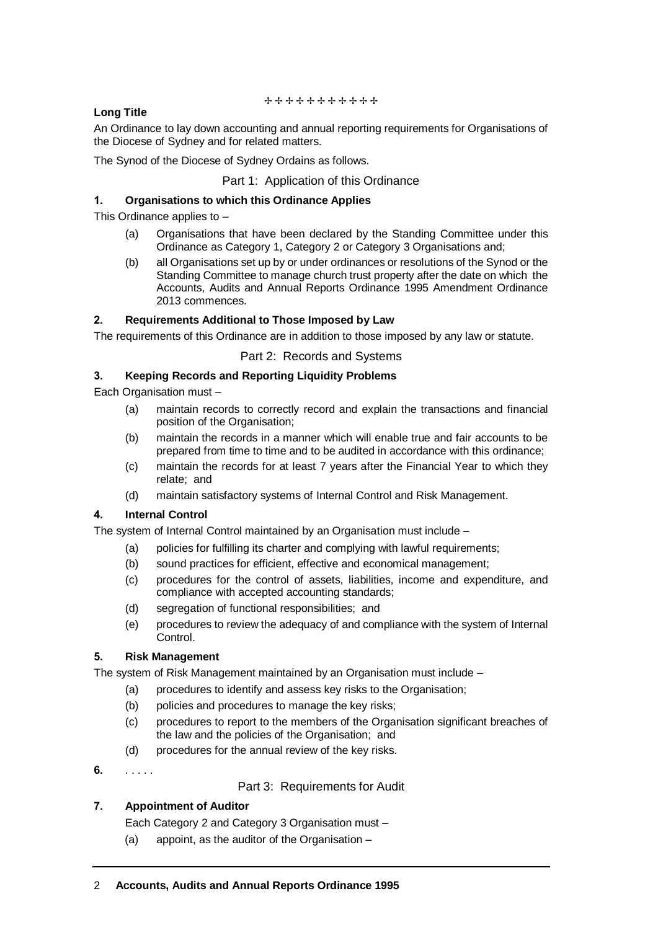#### ++++++++++++

# **Long Title**

An Ordinance to lay down accounting and annual reporting requirements for Organisations of the Diocese of Sydney and for related matters.

The Synod of the Diocese of Sydney Ordains as follows.

## Part 1: Application of this Ordinance

## **1. Organisations to which this Ordinance Applies**

This Ordinance applies to –

- (a) Organisations that have been declared by the Standing Committee under this Ordinance as Category 1, Category 2 or Category 3 Organisations and;
- (b) all Organisations set up by or under ordinances or resolutions of the Synod or the Standing Committee to manage church trust property after the date on which the Accounts, Audits and Annual Reports Ordinance 1995 Amendment Ordinance 2013 commences.

## **2. Requirements Additional to Those Imposed by Law**

The requirements of this Ordinance are in addition to those imposed by any law or statute.

## Part 2: Records and Systems

## **3. Keeping Records and Reporting Liquidity Problems**

Each Organisation must –

- (a) maintain records to correctly record and explain the transactions and financial position of the Organisation;
- (b) maintain the records in a manner which will enable true and fair accounts to be prepared from time to time and to be audited in accordance with this ordinance;
- (c) maintain the records for at least 7 years after the Financial Year to which they relate; and
- (d) maintain satisfactory systems of Internal Control and Risk Management.

## **4. Internal Control**

The system of Internal Control maintained by an Organisation must include –

- (a) policies for fulfilling its charter and complying with lawful requirements;
- (b) sound practices for efficient, effective and economical management;
- (c) procedures for the control of assets, liabilities, income and expenditure, and compliance with accepted accounting standards;
- (d) segregation of functional responsibilities; and
- (e) procedures to review the adequacy of and compliance with the system of Internal Control.

## **5. Risk Management**

The system of Risk Management maintained by an Organisation must include –

- (a) procedures to identify and assess key risks to the Organisation;
- (b) policies and procedures to manage the key risks;
- (c) procedures to report to the members of the Organisation significant breaches of the law and the policies of the Organisation; and
- (d) procedures for the annual review of the key risks.
- **6.** . . . . .

Part 3: Requirements for Audit

# **7. Appointment of Auditor**

Each Category 2 and Category 3 Organisation must –

(a) appoint, as the auditor of the Organisation –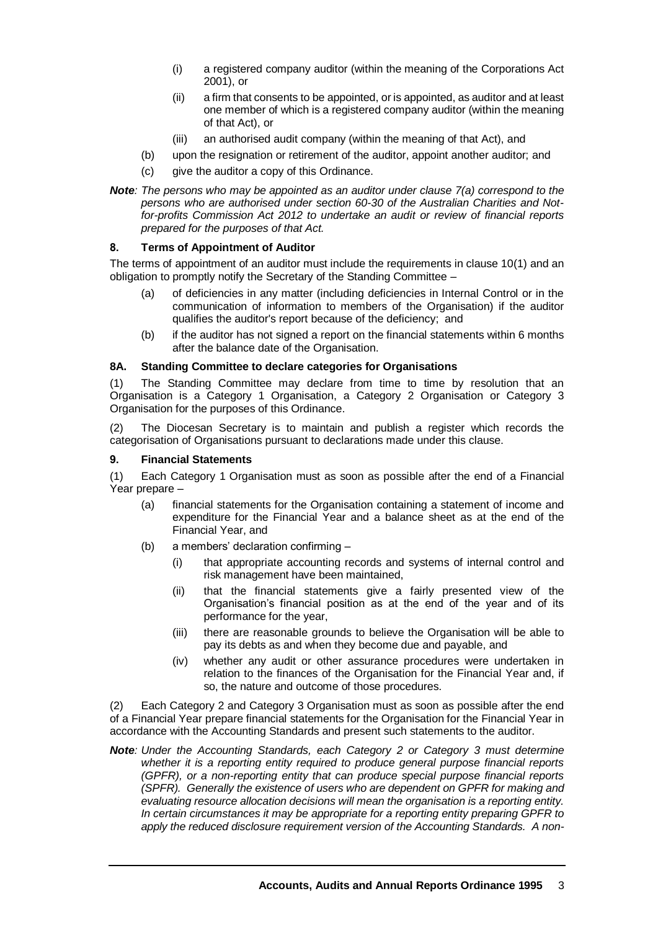- (i) a registered company auditor (within the meaning of the Corporations Act 2001), or
- (ii) a firm that consents to be appointed, or is appointed, as auditor and at least one member of which is a registered company auditor (within the meaning of that Act), or
- (iii) an authorised audit company (within the meaning of that Act), and
- (b) upon the resignation or retirement of the auditor, appoint another auditor; and
- (c) give the auditor a copy of this Ordinance.
- *Note: The persons who may be appointed as an auditor under clause 7(a) correspond to the persons who are authorised under section 60-30 of the Australian Charities and Notfor-profits Commission Act 2012 to undertake an audit or review of financial reports prepared for the purposes of that Act.*

# **8. Terms of Appointment of Auditor**

The terms of appointment of an auditor must include the requirements in clause 10(1) and an obligation to promptly notify the Secretary of the Standing Committee –

- (a) of deficiencies in any matter (including deficiencies in Internal Control or in the communication of information to members of the Organisation) if the auditor qualifies the auditor's report because of the deficiency; and
- (b) if the auditor has not signed a report on the financial statements within 6 months after the balance date of the Organisation.

## **8A. Standing Committee to declare categories for Organisations**

(1) The Standing Committee may declare from time to time by resolution that an Organisation is a Category 1 Organisation, a Category 2 Organisation or Category 3 Organisation for the purposes of this Ordinance.

(2) The Diocesan Secretary is to maintain and publish a register which records the categorisation of Organisations pursuant to declarations made under this clause.

#### **9. Financial Statements**

(1) Each Category 1 Organisation must as soon as possible after the end of a Financial Year prepare –

- (a) financial statements for the Organisation containing a statement of income and expenditure for the Financial Year and a balance sheet as at the end of the Financial Year, and
- (b) a members' declaration confirming
	- (i) that appropriate accounting records and systems of internal control and risk management have been maintained,
	- (ii) that the financial statements give a fairly presented view of the Organisation's financial position as at the end of the year and of its performance for the year,
	- (iii) there are reasonable grounds to believe the Organisation will be able to pay its debts as and when they become due and payable, and
	- (iv) whether any audit or other assurance procedures were undertaken in relation to the finances of the Organisation for the Financial Year and, if so, the nature and outcome of those procedures.

(2) Each Category 2 and Category 3 Organisation must as soon as possible after the end of a Financial Year prepare financial statements for the Organisation for the Financial Year in accordance with the Accounting Standards and present such statements to the auditor.

*Note: Under the Accounting Standards, each Category 2 or Category 3 must determine whether it is a reporting entity required to produce general purpose financial reports (GPFR), or a non-reporting entity that can produce special purpose financial reports (SPFR). Generally the existence of users who are dependent on GPFR for making and evaluating resource allocation decisions will mean the organisation is a reporting entity. In certain circumstances it may be appropriate for a reporting entity preparing GPFR to apply the reduced disclosure requirement version of the Accounting Standards. A non-*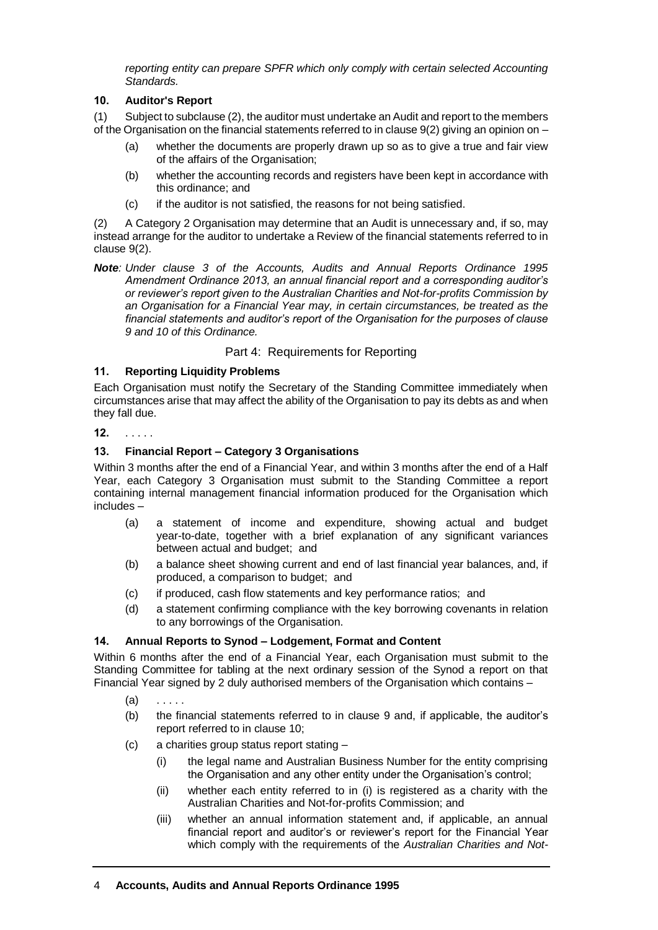*reporting entity can prepare SPFR which only comply with certain selected Accounting Standards.*

## **10. Auditor's Report**

(1) Subject to subclause (2), the auditor must undertake an Audit and report to the members of the Organisation on the financial statements referred to in clause  $9(2)$  giving an opinion on –

- (a) whether the documents are properly drawn up so as to give a true and fair view of the affairs of the Organisation;
- (b) whether the accounting records and registers have been kept in accordance with this ordinance; and
- (c) if the auditor is not satisfied, the reasons for not being satisfied.

(2) A Category 2 Organisation may determine that an Audit is unnecessary and, if so, may instead arrange for the auditor to undertake a Review of the financial statements referred to in clause 9(2).

*Note: Under clause 3 of the Accounts, Audits and Annual Reports Ordinance 1995 Amendment Ordinance 2013, an annual financial report and a corresponding auditor's or reviewer's report given to the Australian Charities and Not-for-profits Commission by an Organisation for a Financial Year may, in certain circumstances, be treated as the financial statements and auditor's report of the Organisation for the purposes of clause 9 and 10 of this Ordinance.*

# Part 4: Requirements for Reporting

# **11. Reporting Liquidity Problems**

Each Organisation must notify the Secretary of the Standing Committee immediately when circumstances arise that may affect the ability of the Organisation to pay its debts as and when they fall due.

## **12.** . . . . .

# **13. Financial Report – Category 3 Organisations**

Within 3 months after the end of a Financial Year, and within 3 months after the end of a Half Year, each Category 3 Organisation must submit to the Standing Committee a report containing internal management financial information produced for the Organisation which includes –

- (a) a statement of income and expenditure, showing actual and budget year-to-date, together with a brief explanation of any significant variances between actual and budget; and
- (b) a balance sheet showing current and end of last financial year balances, and, if produced, a comparison to budget; and
- (c) if produced, cash flow statements and key performance ratios; and
- (d) a statement confirming compliance with the key borrowing covenants in relation to any borrowings of the Organisation.

## **14. Annual Reports to Synod – Lodgement, Format and Content**

Within 6 months after the end of a Financial Year, each Organisation must submit to the Standing Committee for tabling at the next ordinary session of the Synod a report on that Financial Year signed by 2 duly authorised members of the Organisation which contains –

- $(a)$
- (b) the financial statements referred to in clause 9 and, if applicable, the auditor's report referred to in clause 10;
- (c) a charities group status report stating
	- (i) the legal name and Australian Business Number for the entity comprising the Organisation and any other entity under the Organisation's control;
	- (ii) whether each entity referred to in (i) is registered as a charity with the Australian Charities and Not-for-profits Commission; and
	- (iii) whether an annual information statement and, if applicable, an annual financial report and auditor's or reviewer's report for the Financial Year which comply with the requirements of the *Australian Charities and Not-*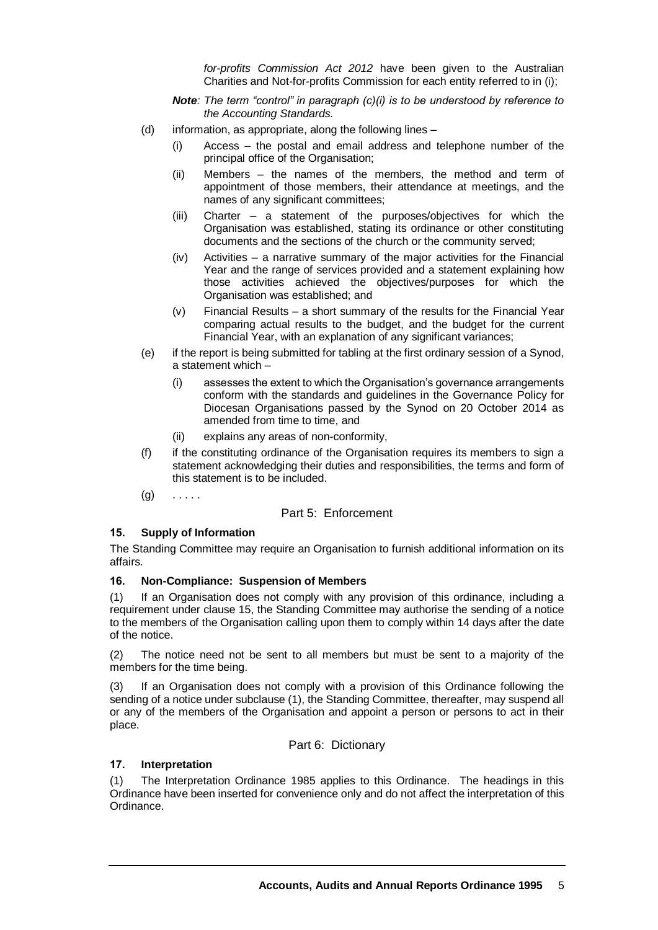*for-profits Commission Act 2012* have been given to the Australian Charities and Not-for-profits Commission for each entity referred to in (i);

*Note: The term "control" in paragraph (c)(i) is to be understood by reference to the Accounting Standards.*

- (d) information, as appropriate, along the following lines
	- (i) Access the postal and email address and telephone number of the principal office of the Organisation;
	- (ii) Members the names of the members, the method and term of appointment of those members, their attendance at meetings, and the names of any significant committees;
	- (iii) Charter a statement of the purposes/objectives for which the Organisation was established, stating its ordinance or other constituting documents and the sections of the church or the community served;
	- (iv) Activities a narrative summary of the major activities for the Financial Year and the range of services provided and a statement explaining how those activities achieved the objectives/purposes for which the Organisation was established; and
	- (v) Financial Results a short summary of the results for the Financial Year comparing actual results to the budget, and the budget for the current Financial Year, with an explanation of any significant variances;
- (e) if the report is being submitted for tabling at the first ordinary session of a Synod, a statement which –
	- (i) assesses the extent to which the Organisation's governance arrangements conform with the standards and guidelines in the Governance Policy for Diocesan Organisations passed by the Synod on 20 October 2014 as amended from time to time, and
	- (ii) explains any areas of non-conformity,
- (f) if the constituting ordinance of the Organisation requires its members to sign a statement acknowledging their duties and responsibilities, the terms and form of this statement is to be included.
- $(g)$  . . . . .

## Part 5: Enforcement

#### **15. Supply of Information**

The Standing Committee may require an Organisation to furnish additional information on its affairs.

## **16. Non-Compliance: Suspension of Members**

(1) If an Organisation does not comply with any provision of this ordinance, including a requirement under clause 15, the Standing Committee may authorise the sending of a notice to the members of the Organisation calling upon them to comply within 14 days after the date of the notice.

(2) The notice need not be sent to all members but must be sent to a majority of the members for the time being.

(3) If an Organisation does not comply with a provision of this Ordinance following the sending of a notice under subclause (1), the Standing Committee, thereafter, may suspend all or any of the members of the Organisation and appoint a person or persons to act in their place.

Part 6: Dictionary

## **17. Interpretation**

(1) The Interpretation Ordinance 1985 applies to this Ordinance. The headings in this Ordinance have been inserted for convenience only and do not affect the interpretation of this Ordinance.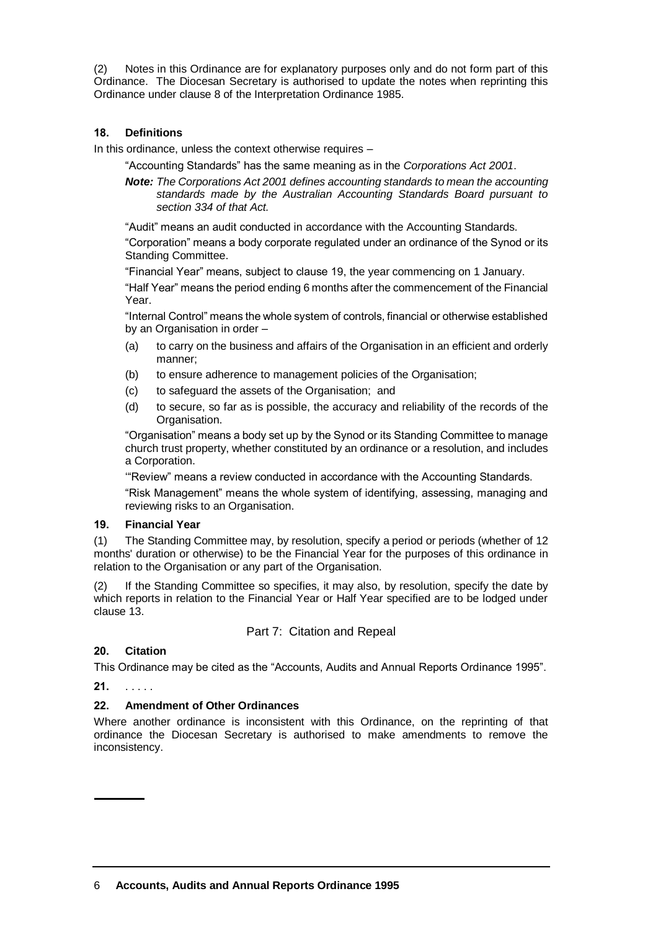(2) Notes in this Ordinance are for explanatory purposes only and do not form part of this Ordinance. The Diocesan Secretary is authorised to update the notes when reprinting this Ordinance under clause 8 of the Interpretation Ordinance 1985.

# **18. Definitions**

In this ordinance, unless the context otherwise requires –

"Accounting Standards" has the same meaning as in the *Corporations Act 2001*.

*Note: The Corporations Act 2001 defines accounting standards to mean the accounting standards made by the Australian Accounting Standards Board pursuant to section 334 of that Act.* 

"Audit" means an audit conducted in accordance with the Accounting Standards.

"Corporation" means a body corporate regulated under an ordinance of the Synod or its Standing Committee.

"Financial Year" means, subject to clause 19, the year commencing on 1 January.

"Half Year" means the period ending 6 months after the commencement of the Financial Year.

"Internal Control" means the whole system of controls, financial or otherwise established by an Organisation in order –

- (a) to carry on the business and affairs of the Organisation in an efficient and orderly manner;
- (b) to ensure adherence to management policies of the Organisation;
- (c) to safeguard the assets of the Organisation; and
- (d) to secure, so far as is possible, the accuracy and reliability of the records of the Organisation.

"Organisation" means a body set up by the Synod or its Standing Committee to manage church trust property, whether constituted by an ordinance or a resolution, and includes a Corporation.

'"Review" means a review conducted in accordance with the Accounting Standards.

"Risk Management" means the whole system of identifying, assessing, managing and reviewing risks to an Organisation.

## **19. Financial Year**

(1) The Standing Committee may, by resolution, specify a period or periods (whether of 12 months' duration or otherwise) to be the Financial Year for the purposes of this ordinance in relation to the Organisation or any part of the Organisation.

(2) If the Standing Committee so specifies, it may also, by resolution, specify the date by which reports in relation to the Financial Year or Half Year specified are to be lodged under clause 13.

Part 7: Citation and Repeal

## **20. Citation**

This Ordinance may be cited as the "Accounts, Audits and Annual Reports Ordinance 1995".

**21.** . . . . .

## **22. Amendment of Other Ordinances**

Where another ordinance is inconsistent with this Ordinance, on the reprinting of that ordinance the Diocesan Secretary is authorised to make amendments to remove the inconsistency.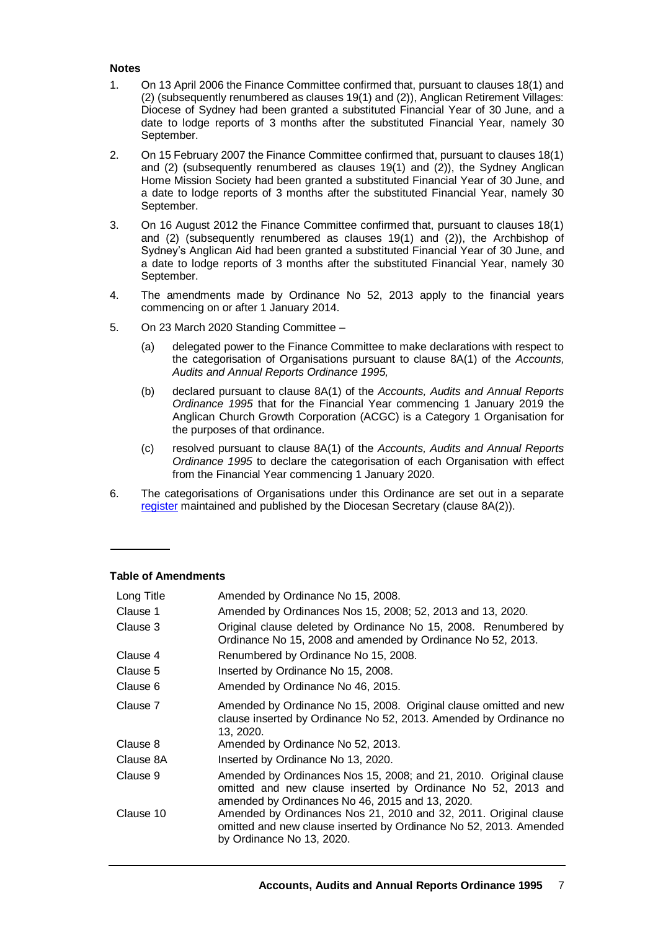#### **Notes**

- 1. On 13 April 2006 the Finance Committee confirmed that, pursuant to clauses 18(1) and (2) (subsequently renumbered as clauses 19(1) and (2)), Anglican Retirement Villages: Diocese of Sydney had been granted a substituted Financial Year of 30 June, and a date to lodge reports of 3 months after the substituted Financial Year, namely 30 September.
- 2. On 15 February 2007 the Finance Committee confirmed that, pursuant to clauses 18(1) and (2) (subsequently renumbered as clauses 19(1) and (2)), the Sydney Anglican Home Mission Society had been granted a substituted Financial Year of 30 June, and a date to lodge reports of 3 months after the substituted Financial Year, namely 30 September.
- 3. On 16 August 2012 the Finance Committee confirmed that, pursuant to clauses 18(1) and (2) (subsequently renumbered as clauses 19(1) and (2)), the Archbishop of Sydney's Anglican Aid had been granted a substituted Financial Year of 30 June, and a date to lodge reports of 3 months after the substituted Financial Year, namely 30 September.
- 4. The amendments made by Ordinance No 52, 2013 apply to the financial years commencing on or after 1 January 2014.
- 5. On 23 March 2020 Standing Committee
	- (a) delegated power to the Finance Committee to make declarations with respect to the categorisation of Organisations pursuant to clause 8A(1) of the *Accounts, Audits and Annual Reports Ordinance 1995,*
	- (b) declared pursuant to clause 8A(1) of the *Accounts, Audits and Annual Reports Ordinance 1995* that for the Financial Year commencing 1 January 2019 the Anglican Church Growth Corporation (ACGC) is a Category 1 Organisation for the purposes of that ordinance.
	- (c) resolved pursuant to clause 8A(1) of the *Accounts, Audits and Annual Reports Ordinance 1995* to declare the categorisation of each Organisation with effect from the Financial Year commencing 1 January 2020.
- 6. The categorisations of Organisations under this Ordinance are set out in a separate [register](https://www.sds.asn.au/accounts-audits-and-annual-reports-ordinance-1995-category-organisations-register) maintained and published by the Diocesan Secretary (clause 8A(2)).

#### **Table of Amendments**

| Long Title | Amended by Ordinance No 15, 2008.                                                                                                                                                    |
|------------|--------------------------------------------------------------------------------------------------------------------------------------------------------------------------------------|
| Clause 1   | Amended by Ordinances Nos 15, 2008; 52, 2013 and 13, 2020.                                                                                                                           |
| Clause 3   | Original clause deleted by Ordinance No 15, 2008. Renumbered by<br>Ordinance No 15, 2008 and amended by Ordinance No 52, 2013.                                                       |
| Clause 4   | Renumbered by Ordinance No 15, 2008.                                                                                                                                                 |
| Clause 5   | Inserted by Ordinance No 15, 2008.                                                                                                                                                   |
| Clause 6   | Amended by Ordinance No 46, 2015.                                                                                                                                                    |
| Clause 7   | Amended by Ordinance No 15, 2008. Original clause omitted and new<br>clause inserted by Ordinance No 52, 2013. Amended by Ordinance no<br>13, 2020.                                  |
| Clause 8   | Amended by Ordinance No 52, 2013.                                                                                                                                                    |
| Clause 8A  | Inserted by Ordinance No 13, 2020.                                                                                                                                                   |
| Clause 9   | Amended by Ordinances Nos 15, 2008; and 21, 2010. Original clause<br>omitted and new clause inserted by Ordinance No 52, 2013 and<br>amended by Ordinances No 46, 2015 and 13, 2020. |
| Clause 10  | Amended by Ordinances Nos 21, 2010 and 32, 2011. Original clause<br>omitted and new clause inserted by Ordinance No 52, 2013. Amended<br>by Ordinance No 13, 2020.                   |